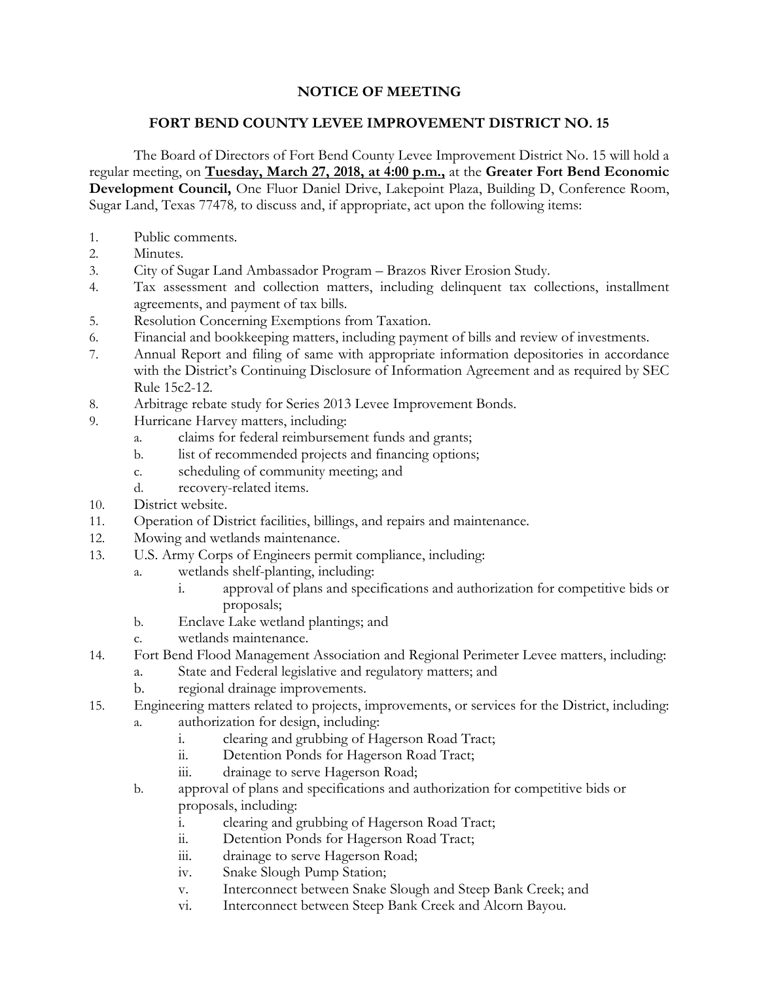## **NOTICE OF MEETING**

## **FORT BEND COUNTY LEVEE IMPROVEMENT DISTRICT NO. 15**

The Board of Directors of Fort Bend County Levee Improvement District No. 15 will hold a regular meeting, on **Tuesday, March 27, 2018, at 4:00 p.m.,** at the **Greater Fort Bend Economic Development Council,** One Fluor Daniel Drive, Lakepoint Plaza, Building D, Conference Room, Sugar Land, Texas 77478*,* to discuss and, if appropriate, act upon the following items:

- 1. Public comments.
- 2. Minutes.
- 3. City of Sugar Land Ambassador Program Brazos River Erosion Study.
- 4. Tax assessment and collection matters, including delinquent tax collections, installment agreements, and payment of tax bills.
- 5. Resolution Concerning Exemptions from Taxation.
- 6. Financial and bookkeeping matters, including payment of bills and review of investments.
- 7. Annual Report and filing of same with appropriate information depositories in accordance with the District's Continuing Disclosure of Information Agreement and as required by SEC Rule 15c2-12.
- 8. Arbitrage rebate study for Series 2013 Levee Improvement Bonds.
- 9. Hurricane Harvey matters, including:
	- a. claims for federal reimbursement funds and grants;
	- b. list of recommended projects and financing options;
	- c. scheduling of community meeting; and
	- d. recovery-related items.
- 10. District website.
- 11. Operation of District facilities, billings, and repairs and maintenance.
- 12. Mowing and wetlands maintenance.
- 13. U.S. Army Corps of Engineers permit compliance, including:
	- a. wetlands shelf-planting, including:
		- i. approval of plans and specifications and authorization for competitive bids or proposals;
	- b. Enclave Lake wetland plantings; and
	- c. wetlands maintenance.
- 14. Fort Bend Flood Management Association and Regional Perimeter Levee matters, including:
	- a. State and Federal legislative and regulatory matters; and
	- b. regional drainage improvements.
- 15. Engineering matters related to projects, improvements, or services for the District, including:
	- a. authorization for design, including:
		- i. clearing and grubbing of Hagerson Road Tract;
		- ii. Detention Ponds for Hagerson Road Tract;
		- iii. drainage to serve Hagerson Road;
	- b. approval of plans and specifications and authorization for competitive bids or proposals, including:
		- i. clearing and grubbing of Hagerson Road Tract;
		- ii. Detention Ponds for Hagerson Road Tract;
		- iii. drainage to serve Hagerson Road;
		- iv. Snake Slough Pump Station;
		- v. Interconnect between Snake Slough and Steep Bank Creek; and
		- vi. Interconnect between Steep Bank Creek and Alcorn Bayou.